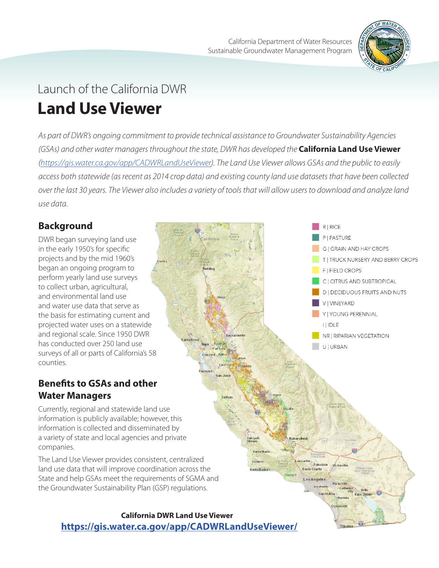

# Launch of the California DWR **Land Use Viewer**

*As part of DWR's ongoing commitment to provide technical assistance to Groundwater Sustainability Agencies (GSAs) and other water managers throughout the state, DWR has developed the California Land Use Viewer ([https://gis.water.ca.gov/app/CADWRLandUseViewer\)](https://gis.water.ca.gov/app/CADWRLandUseViewer). The Land Use Viewer allows GSAs and the public to easily access both statewide (as recent as 2014 crop data) and existing county land use datasets that have been collected over the last 30 years. The Viewer also includes a variety of tools that will allow users to download and analyze land use data.*

an Luís

Santa Mari Lomi anta Rada

Santa Clarita os Angele

Till

## **Background**

DWR began surveying land use in the early 1950's for specific projects and by the mid 1960's began an ongoing program to perform yearly land use surveys to collect urban, agricultural, and environmental land use and water use data that serve as the basis for estimating current and projected water uses on a statewide and regional scale. Since 1950 DWR has conducted over 250 land use surveys of all or parts of California's 58 counties.

## **Benefits to GSAs and other Water Managers**

Currently, regional and statewide land use information is publicly available; however, this information is collected and disseminated by a variety of state and local agencies and private companies.

The Land Use Viewer provides consistent, centralized land use data that will improve coordination across the State and help GSAs meet the requirements of SGMA and the Groundwater Sustainability Plan (GSP) regulations.





**G | GRAIN AND HAY CROPS** 

T I TRUCK NURSERY AND BERRY CROPS

**RIRICE** PIPASTURE